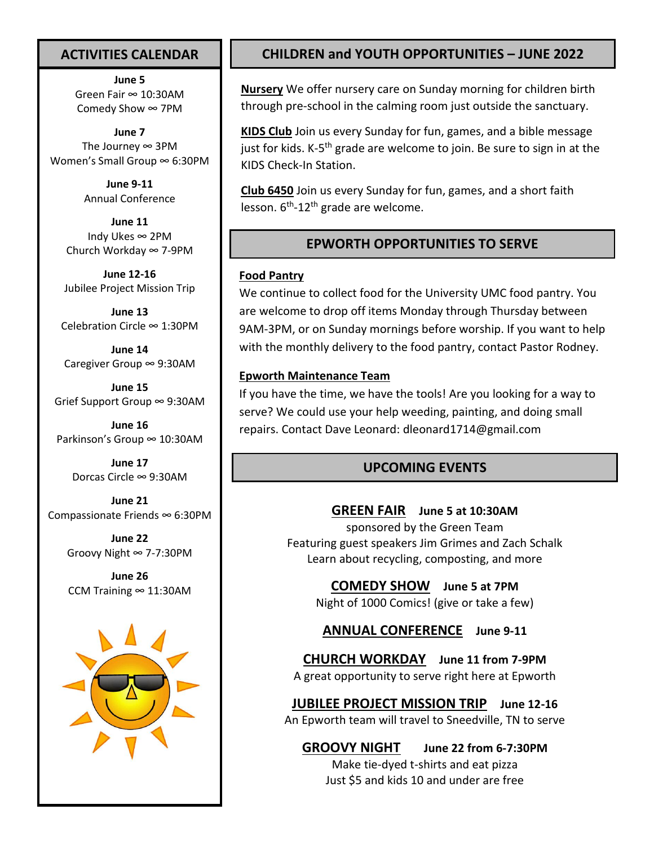## **ACTIVITIES CALENDAR**

**June 5** Green Fair ∞ 10:30AM Comedy Show ∞ 7PM

**June 7** The Journey  $\infty$  3PM Women's Small Group ∞ 6:30PM

> **June 9-11** Annual Conference

**June 11** Indy Ukes ∞ 2PM Church Workday ∞ 7-9PM

**June 12-16** Jubilee Project Mission Trip

**June 13** Celebration Circle ∞ 1:30PM

**June 14** Caregiver Group ∞ 9:30AM

**June 15** Grief Support Group ∞ 9:30AM

**June 16** Parkinson's Group ∞ 10:30AM

> **June 17** Dorcas Circle ∞ 9:30AM

**June 21** Compassionate Friends ∞ 6:30PM

> **June 22** Groovy Night ∞ 7-7:30PM

**June 26** CCM Training  $\infty$  11:30AM



# **CHILDREN and YOUTH OPPORTUNITIES – JUNE 2022**

**Nursery** We offer nursery care on Sunday morning for children birth through pre-school in the calming room just outside the sanctuary.

**KIDS Club** Join us every Sunday for fun, games, and a bible message just for kids. K-5<sup>th</sup> grade are welcome to join. Be sure to sign in at the KIDS Check-In Station.

**Club 6450** Join us every Sunday for fun, games, and a short faith lesson. 6<sup>th</sup>-12<sup>th</sup> grade are welcome.

## **EPWORTH OPPORTUNITIES TO SERVE**

### **Food Pantry**

We continue to collect food for the University UMC food pantry. You are welcome to drop off items Monday through Thursday between 9AM-3PM, or on Sunday mornings before worship. If you want to help with the monthly delivery to the food pantry, contact Pastor Rodney.

### **Epworth Maintenance Team**

If you have the time, we have the tools! Are you looking for a way to serve? We could use your help weeding, painting, and doing small repairs. Contact Dave Leonard: [dleonard1714@gmail.com](mailto:dleonard1714@gmail.com)

### **UPCOMING EVENTS**

### **GREEN FAIR June 5 at 10:30AM**

sponsored by the Green Team Featuring guest speakers Jim Grimes and Zach Schalk Learn about recycling, composting, and more

**COMEDY SHOW June 5 at 7PM**

Night of 1000 Comics! (give or take a few)

**ANNUAL CONFERENCE June 9-11**

**CHURCH WORKDAY June 11 from 7-9PM** A great opportunity to serve right here at Epworth

**JUBILEE PROJECT MISSION TRIP June 12-16** An Epworth team will travel to Sneedville, TN to serve

**GROOVY NIGHT June 22 from 6-7:30PM** Make tie-dyed t-shirts and eat pizza Just \$5 and kids 10 and under are free